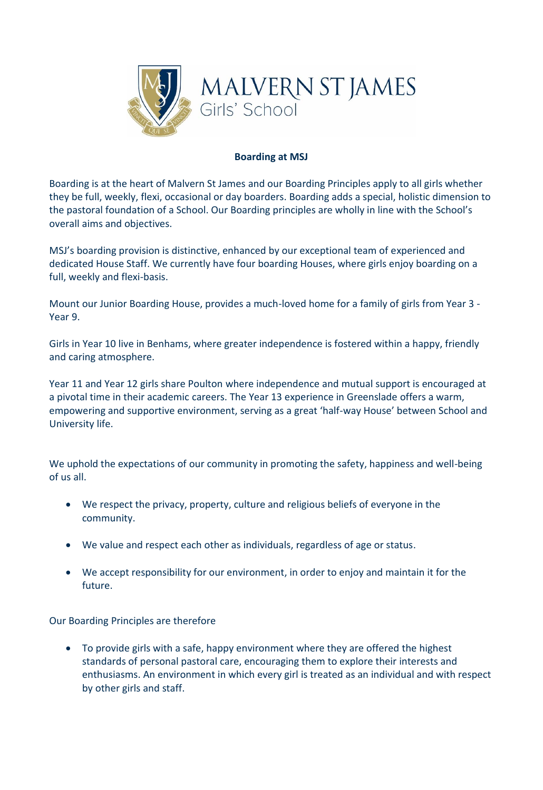

## **Boarding at MSJ**

Boarding is at the heart of Malvern St James and our Boarding Principles apply to all girls whether they be full, weekly, flexi, occasional or day boarders. Boarding adds a special, holistic dimension to the pastoral foundation of a School. Our Boarding principles are wholly in line with the School's overall aims and objectives.

MSJ's boarding provision is distinctive, enhanced by our exceptional team of experienced and dedicated House Staff. We currently have four boarding Houses, where girls enjoy boarding on a full, weekly and flexi-basis.

Mount our Junior Boarding House, provides a much-loved home for a family of girls from Year 3 - Year 9.

Girls in Year 10 live in Benhams, where greater independence is fostered within a happy, friendly and caring atmosphere.

Year 11 and Year 12 girls share Poulton where independence and mutual support is encouraged at a pivotal time in their academic careers. The Year 13 experience in Greenslade offers a warm, empowering and supportive environment, serving as a great 'half-way House' between School and University life.

We uphold the expectations of our community in promoting the safety, happiness and well-being of us all.

- We respect the privacy, property, culture and religious beliefs of everyone in the community.
- We value and respect each other as individuals, regardless of age or status.
- We accept responsibility for our environment, in order to enjoy and maintain it for the future.

Our Boarding Principles are therefore

• To provide girls with a safe, happy environment where they are offered the highest standards of personal pastoral care, encouraging them to explore their interests and enthusiasms. An environment in which every girl is treated as an individual and with respect by other girls and staff.